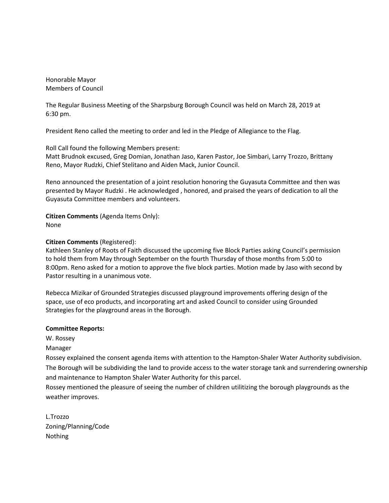Honorable Mayor Members of Council

The Regular Business Meeting of the Sharpsburg Borough Council was held on March 28, 2019 at 6:30 pm.

President Reno called the meeting to order and led in the Pledge of Allegiance to the Flag.

Roll Call found the following Members present:

Matt Brudnok excused, Greg Domian, Jonathan Jaso, Karen Pastor, Joe Simbari, Larry Trozzo, Brittany Reno, Mayor Rudzki, Chief Stelitano and Aiden Mack, Junior Council.

Reno announced the presentation of a joint resolution honoring the Guyasuta Committee and then was presented by Mayor Rudzki . He acknowledged , honored, and praised the years of dedication to all the Guyasuta Committee members and volunteers.

**Citizen Comments** (Agenda Items Only): None

### **Citizen Comments** (Registered):

Kathleen Stanley of Roots of Faith discussed the upcoming five Block Parties asking Council's permission to hold them from May through September on the fourth Thursday of those months from 5:00 to 8:00pm. Reno asked for a motion to approve the five block parties. Motion made by Jaso with second by Pastor resulting in a unanimous vote.

Rebecca Mizikar of Grounded Strategies discussed playground improvements offering design of the space, use of eco products, and incorporating art and asked Council to consider using Grounded Strategies for the playground areas in the Borough.

#### **Committee Reports:**

W. Rossey

## Manager

Rossey explained the consent agenda items with attention to the Hampton-Shaler Water Authority subdivision. The Borough will be subdividing the land to provide access to the water storage tank and surrendering ownership and maintenance to Hampton Shaler Water Authority for this parcel.

Rossey mentioned the pleasure of seeing the number of children utilitizing the borough playgrounds as the weather improves.

L.Trozzo Zoning/Planning/Code Nothing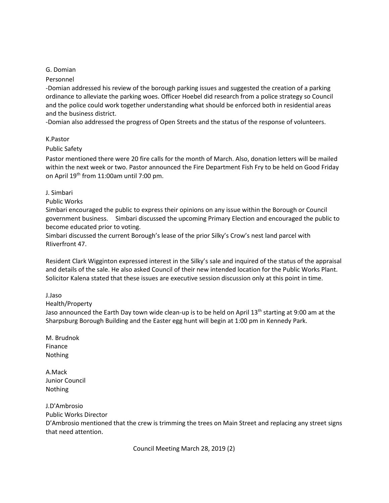## G. Domian

### Personnel

-Domian addressed his review of the borough parking issues and suggested the creation of a parking ordinance to alleviate the parking woes. Officer Hoebel did research from a police strategy so Council and the police could work together understanding what should be enforced both in residential areas and the business district.

-Domian also addressed the progress of Open Streets and the status of the response of volunteers.

### K.Pastor

### Public Safety

Pastor mentioned there were 20 fire calls for the month of March. Also, donation letters will be mailed within the next week or two. Pastor announced the Fire Department Fish Fry to be held on Good Friday on April 19th from 11:00am until 7:00 pm.

### J. Simbari

### Public Works

Simbari encouraged the public to express their opinions on any issue within the Borough or Council government business. Simbari discussed the upcoming Primary Election and encouraged the public to become educated prior to voting.

Simbari discussed the current Borough's lease of the prior Silky's Crow's nest land parcel with RIiverfront 47.

Resident Clark Wigginton expressed interest in the Silky's sale and inquired of the status of the appraisal and details of the sale. He also asked Council of their new intended location for the Public Works Plant. Solicitor Kalena stated that these issues are executive session discussion only at this point in time.

J.Jaso

#### Health/Property

Jaso announced the Earth Day town wide clean-up is to be held on April 13<sup>th</sup> starting at 9:00 am at the Sharpsburg Borough Building and the Easter egg hunt will begin at 1:00 pm in Kennedy Park.

M. Brudnok Finance Nothing

A.Mack Junior Council Nothing

J.D'Ambrosio Public Works Director D'Ambrosio mentioned that the crew is trimming the trees on Main Street and replacing any street signs that need attention.

Council Meeting March 28, 2019 (2)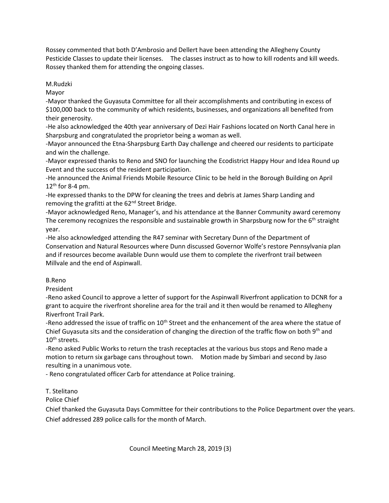Rossey commented that both D'Ambrosio and Dellert have been attending the Allegheny County Pesticide Classes to update their licenses. The classes instruct as to how to kill rodents and kill weeds. Rossey thanked them for attending the ongoing classes.

M.Rudzki

Mayor

-Mayor thanked the Guyasuta Committee for all their accomplishments and contributing in excess of \$100,000 back to the community of which residents, businesses, and organizations all benefited from their generosity.

-He also acknowledged the 40th year anniversary of Dezi Hair Fashions located on North Canal here in Sharpsburg and congratulated the proprietor being a woman as well.

-Mayor announced the Etna-Sharpsburg Earth Day challenge and cheered our residents to participate and win the challenge.

-Mayor expressed thanks to Reno and SNO for launching the Ecodistrict Happy Hour and Idea Round up Event and the success of the resident participation.

-He announced the Animal Friends Mobile Resource Clinic to be held in the Borough Building on April  $12<sup>th</sup>$  for 8-4 pm.

-He expressed thanks to the DPW for cleaning the trees and debris at James Sharp Landing and removing the grafitti at the 62<sup>nd</sup> Street Bridge.

-Mayor acknowledged Reno, Manager's, and his attendance at the Banner Community award ceremony The ceremony recognizes the responsible and sustainable growth in Sharpsburg now for the  $6<sup>th</sup>$  straight year.

-He also acknowledged attending the R47 seminar with Secretary Dunn of the Department of Conservation and Natural Resources where Dunn discussed Governor Wolfe's restore Pennsylvania plan and if resources become available Dunn would use them to complete the riverfront trail between Millvale and the end of Aspinwall.

# B.Reno

President

-Reno asked Council to approve a letter of support for the Aspinwall Riverfront application to DCNR for a grant to acquire the riverfront shoreline area for the trail and it then would be renamed to Allegheny Riverfront Trail Park.

-Reno addressed the issue of traffic on 10<sup>th</sup> Street and the enhancement of the area where the statue of Chief Guyasuta sits and the consideration of changing the direction of the traffic flow on both 9<sup>th</sup> and 10<sup>th</sup> streets.

-Reno asked Public Works to return the trash receptacles at the various bus stops and Reno made a motion to return six garbage cans throughout town. Motion made by Simbari and second by Jaso resulting in a unanimous vote.

- Reno congratulated officer Carb for attendance at Police training.

# T. Stelitano

Police Chief

Chief thanked the Guyasuta Days Committee for their contributions to the Police Department over the years. Chief addressed 289 police calls for the month of March.

Council Meeting March 28, 2019 (3)